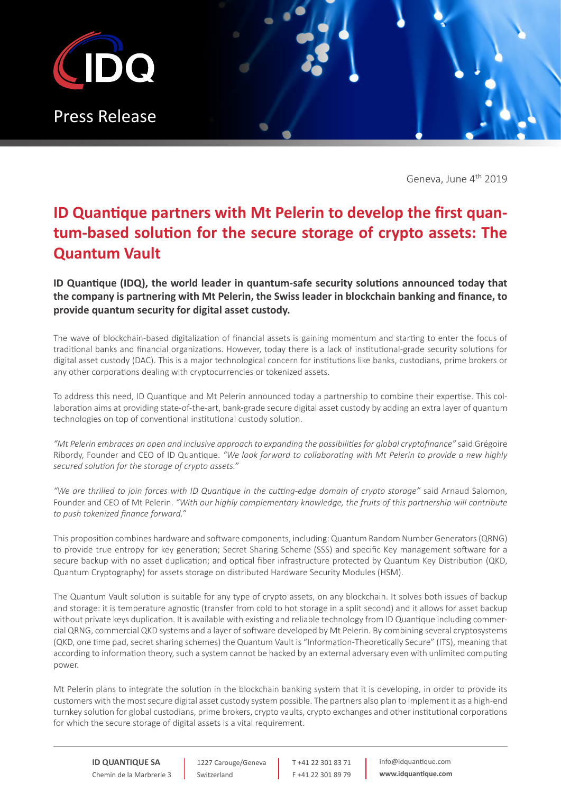

Geneva, June 4<sup>th</sup> 2019

## **ID Quantique partners with Mt Pelerin to develop the first quantum-based solution for the secure storage of crypto assets: The Quantum Vault**

## **ID Quantique (IDQ), the world leader in quantum-safe security solutions announced today that the company is partnering with Mt Pelerin, the Swiss leader in blockchain banking and finance, to provide quantum security for digital asset custody.**

The wave of blockchain-based digitalization of financial assets is gaining momentum and starting to enter the focus of traditional banks and financial organizations. However, today there is a lack of institutional-grade security solutions for digital asset custody (DAC). This is a major technological concern for institutions like banks, custodians, prime brokers or any other corporations dealing with cryptocurrencies or tokenized assets.

To address this need, ID Quantique and Mt Pelerin announced today a partnership to combine their expertise. This collaboration aims at providing state-of-the-art, bank-grade secure digital asset custody by adding an extra layer of quantum technologies on top of conventional institutional custody solution.

*"Mt Pelerin embraces an open and inclusive approach to expanding the possibilities for global cryptofinance"* said Grégoire Ribordy, Founder and CEO of ID Quantique. *"We look forward to collaborating with Mt Pelerin to provide a new highly secured solution for the storage of crypto assets."*

*"We are thrilled to join forces with ID Quantique in the cutting-edge domain of crypto storage"* said Arnaud Salomon, Founder and CEO of Mt Pelerin. *"With our highly complementary knowledge, the fruits of this partnership will contribute to push tokenized finance forward."*

This proposition combines hardware and software components, including: Quantum Random Number Generators (QRNG) to provide true entropy for key generation; Secret Sharing Scheme (SSS) and specific Key management software for a secure backup with no asset duplication; and optical fiber infrastructure protected by Quantum Key Distribution (QKD, Quantum Cryptography) for assets storage on distributed Hardware Security Modules (HSM).

The Quantum Vault solution is suitable for any type of crypto assets, on any blockchain. It solves both issues of backup and storage: it is temperature agnostic (transfer from cold to hot storage in a split second) and it allows for asset backup without private keys duplication. It is available with existing and reliable technology from ID Quantique including commercial QRNG, commercial QKD systems and a layer of software developed by Mt Pelerin. By combining several cryptosystems (QKD, one time pad, secret sharing schemes) the Quantum Vault is "Information-Theoretically Secure" (ITS), meaning that according to information theory, such a system cannot be hacked by an external adversary even with unlimited computing power.

Mt Pelerin plans to integrate the solution in the blockchain banking system that it is developing, in order to provide its customers with the most secure digital asset custody system possible. The partners also plan to implement it as a high-end turnkey solution for global custodians, prime brokers, crypto vaults, crypto exchanges and other institutional corporations for which the secure storage of digital assets is a vital requirement.

**ID QUANTIQUE SA** Chemin de la Marbrerie 3

1227 Carouge/Geneva Switzerland

T +41 22 301 83 71 F +41 22 301 89 79 info@idquantique.com **www.idquantique.com**